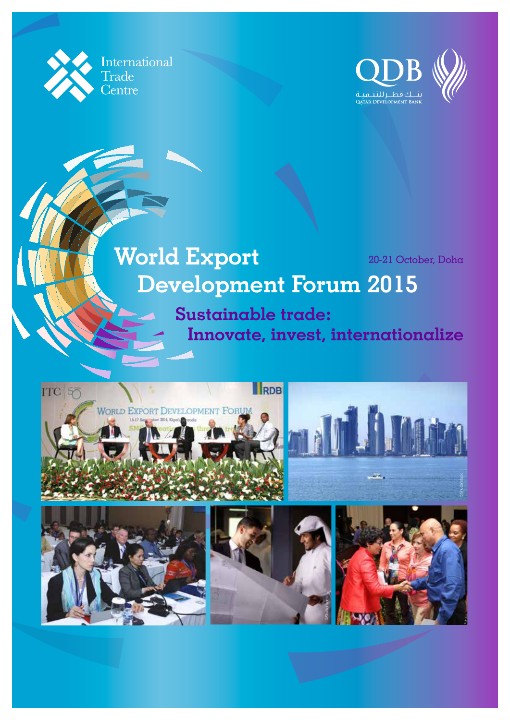



# **World Export** 20-21 October, Doha **Development Forum 2015**

**Sustainable trade: Innovate, invest, internationalize**

©Shutterstock

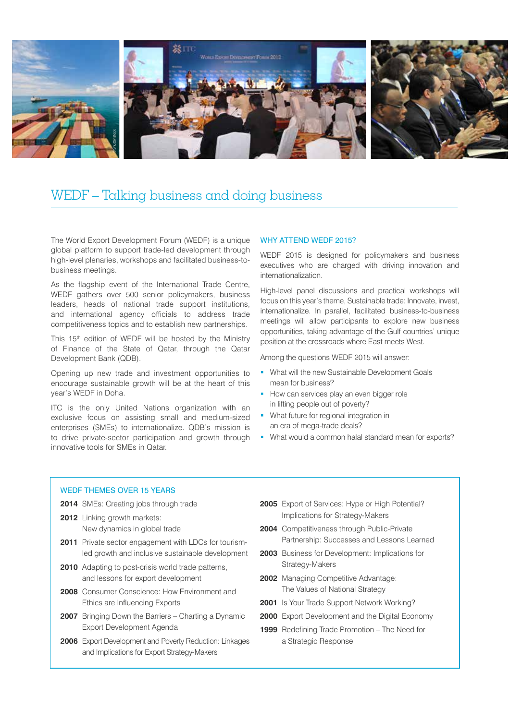

# WEDF – Talking business and doing business

The World Export Development Forum (WEDF) is a unique global platform to support trade-led development through high-level plenaries, workshops and facilitated business-tobusiness meetings.

As the flagship event of the International Trade Centre, WEDF gathers over 500 senior policymakers, business leaders, heads of national trade support institutions, and international agency officials to address trade competitiveness topics and to establish new partnerships.

This 15<sup>th</sup> edition of WEDF will be hosted by the Ministry of Finance of the State of Qatar, through the Qatar Development Bank (QDB).

Opening up new trade and investment opportunities to encourage sustainable growth will be at the heart of this year's WEDF in Doha.

ITC is the only United Nations organization with an exclusive focus on assisting small and medium-sized enterprises (SMEs) to internationalize. QDB's mission is to drive private-sector participation and growth through innovative tools for SMEs in Qatar.

## WHY ATTEND WEDF 2015?

WEDF 2015 is designed for policymakers and business executives who are charged with driving innovation and internationalization.

High-level panel discussions and practical workshops will focus on this year's theme, Sustainable trade: Innovate, invest, internationalize. In parallel, facilitated business-to-business meetings will allow participants to explore new business opportunities, taking advantage of the Gulf countries' unique position at the crossroads where East meets West.

Among the questions WEDF 2015 will answer:

- What will the new Sustainable Development Goals mean for business?
- How can services play an even bigger role in lifting people out of poverty?
- **What future for regional integration in** an era of mega-trade deals?
- What would a common halal standard mean for exports?

# WEDF THEMES OVER 15 YEARS

- **2014** SMEs: Creating jobs through trade
- **2012** Linking growth markets: New dynamics in global trade
- **2011** Private sector engagement with LDCs for tourismled growth and inclusive sustainable development
- **2010** Adapting to post-crisis world trade patterns, and lessons for export development
- **2008** Consumer Conscience: How Environment and Ethics are Influencing Exports
- **2007** Bringing Down the Barriers Charting a Dynamic Export Development Agenda
- **2006** Export Development and Poverty Reduction: Linkages and Implications for Export Strategy-Makers
- **2005** Export of Services: Hype or High Potential? Implications for Strategy-Makers
- **2004** Competitiveness through Public-Private Partnership: Successes and Lessons Learned
- **2003** Business for Development: Implications for Strategy-Makers
- **2002** Managing Competitive Advantage: The Values of National Strategy
- **2001** Is Your Trade Support Network Working?
- **2000** Export Development and the Digital Economy
- **1999** Redefining Trade Promotion The Need for a Strategic Response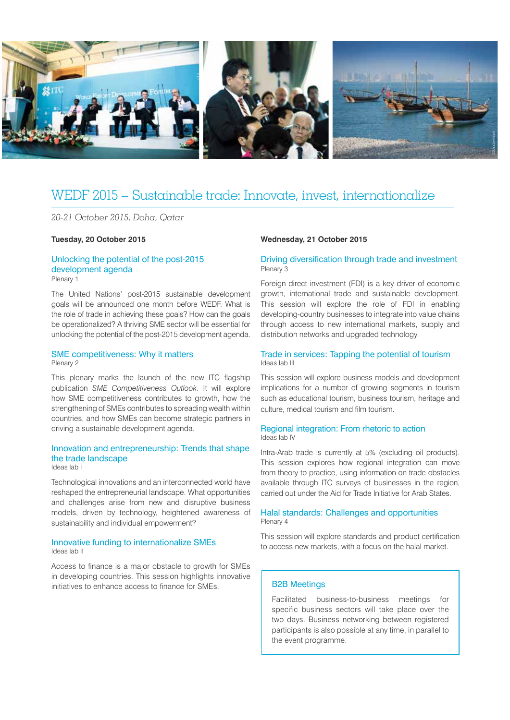

# WEDF 2015 – Sustainable trade: Innovate, invest, internationalize

*20-21 October 2015, Doha, Qatar*

## **Tuesday, 20 October 2015**

#### Unlocking the potential of the post-2015 development agenda Plenary 1

The United Nations' post-2015 sustainable development goals will be announced one month before WEDF. What is the role of trade in achieving these goals? How can the goals be operationalized? A thriving SME sector will be essential for unlocking the potential of the post-2015 development agenda.

#### SME competitiveness: Why it matters Plenary 2

This plenary marks the launch of the new ITC flagship publication *SME Competitiveness Outlook*. It will explore how SME competitiveness contributes to growth, how the strengthening of SMEs contributes to spreading wealth within countries, and how SMEs can become strategic partners in driving a sustainable development agenda.

#### Innovation and entrepreneurship: Trends that shape the trade landscape Ideas lab I

Technological innovations and an interconnected world have reshaped the entrepreneurial landscape. What opportunities and challenges arise from new and disruptive business models, driven by technology, heightened awareness of sustainability and individual empowerment?

#### Innovative funding to internationalize SMEs Ideas lab II

Access to finance is a major obstacle to growth for SMEs in developing countries. This session highlights innovative initiatives to enhance access to finance for SMEs.

#### **Wednesday, 21 October 2015**

# Driving diversification through trade and investment Plenary 3

Foreign direct investment (FDI) is a key driver of economic growth, international trade and sustainable development. This session will explore the role of FDI in enabling developing-country businesses to integrate into value chains through access to new international markets, supply and distribution networks and upgraded technology.

# Trade in services: Tapping the potential of tourism Ideas lab III

This session will explore business models and development implications for a number of growing segments in tourism such as educational tourism, business tourism, heritage and culture, medical tourism and film tourism.

#### Regional integration: From rhetoric to action Ideas lab IV

Intra-Arab trade is currently at 5% (excluding oil products). This session explores how regional integration can move from theory to practice, using information on trade obstacles available through ITC surveys of businesses in the region, carried out under the Aid for Trade Initiative for Arab States.

## Halal standards: Challenges and opportunities Plenary 4

This session will explore standards and product certification to access new markets, with a focus on the halal market.

# B2B Meetings

Facilitated business-to-business meetings for specific business sectors will take place over the two days. Business networking between registered participants is also possible at any time, in parallel to the event programme.